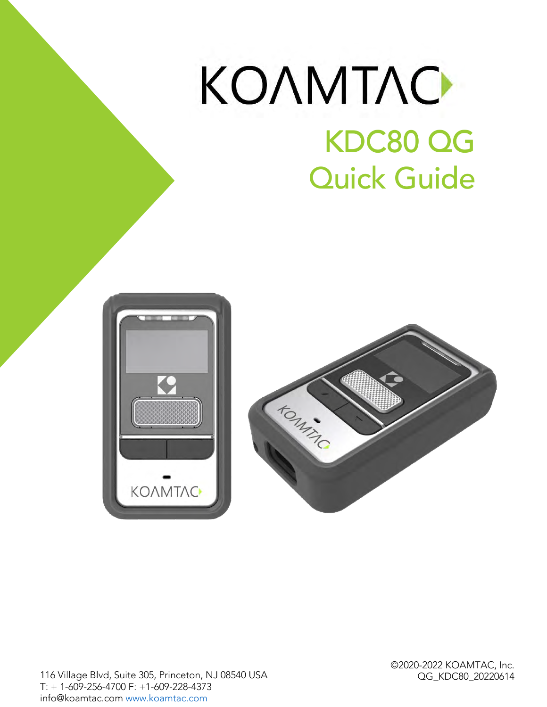# KONMTAC KDC80 QG KDC80 QG Quick Guide





OG KDC80 20220614  $\overline{\phantom{a}}$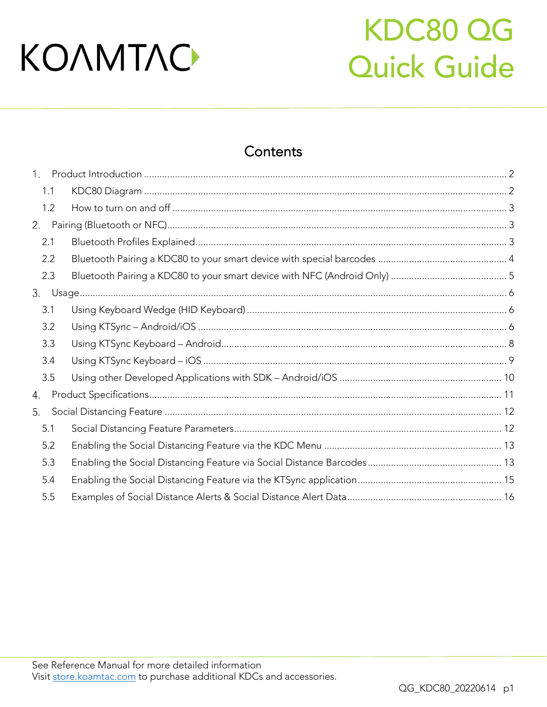## KDC80 QG **Quick Guide**

### Contents

| $1_{\ldots}$ |     |  |
|--------------|-----|--|
|              | 1.1 |  |
|              | 1.2 |  |
| 2.           |     |  |
|              | 2.1 |  |
|              | 2.2 |  |
|              | 2.3 |  |
|              |     |  |
|              | 3.1 |  |
|              | 3.2 |  |
|              | 3.3 |  |
| 3.4<br>3.5   |     |  |
|              |     |  |
| 4.           |     |  |
| 5.           |     |  |
|              | 5.1 |  |
|              | 5.2 |  |
|              | 5.3 |  |
|              | 5.4 |  |
|              | 5.5 |  |
|              |     |  |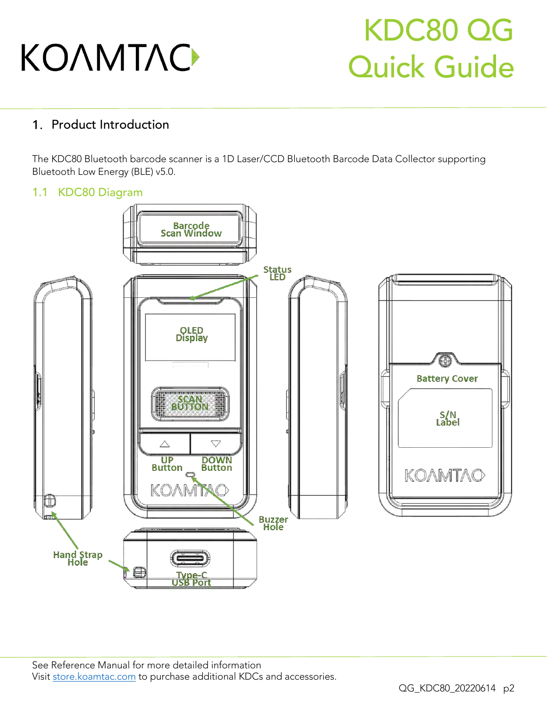## KDC80 QG Quick Guide

### <span id="page-2-0"></span>1. Product Introduction

The KDC80 Bluetooth barcode scanner is a 1D Laser/CCD Bluetooth Barcode Data Collector supporting  $\mathbb{R}$  -to the Low Eq. (Blueton Energy (BLE) vs. 0.0.

#### <span id="page-2-1"></span>1.1 KDC80 Diagram

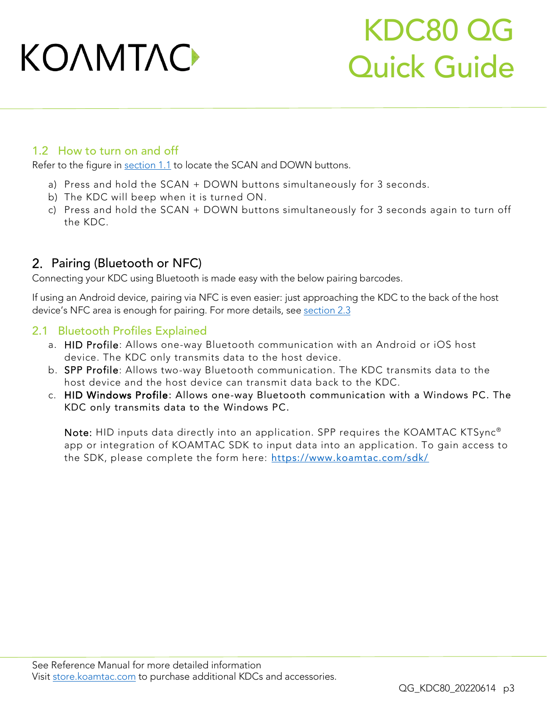## KDC80 QG Quick Guide

#### <span id="page-3-0"></span>1.2 How to turn on and off

Refer to the figure in [section 1.1](#page-2-1) to locate the SCAN and DOWN buttons.

- a) Press and hold the SCAN + DOWN buttons simultaneously for 3 seconds.<br>b) The KDC will beep when it is turned ON.
- 
- $\begin{bmatrix} 1 & 0 \\ 0 & 1 \end{bmatrix}$  The Kongress and hold the SCAN + DOWN butto c) Press and hold the SCAN + DOWN buttons simultaneously for 3 seconds again to turn on the KDC the KDC.

#### <span id="page-3-1"></span>2. Pairing (Bluetooth or NFC)

Connecting your KDC using Bluetooth is made easy with the below pairing barcodes.

If using a straight the straight of the Android is even experienced the following the KDC to the FDC to the back of the host of the host approaching the kontract of the host of the host of the host of the host of the host device the state  $\alpha$  is enough for pairing. For more details, see <u>section 2.</u>

#### <span id="page-3-2"></span>2.1 Bluetooth Profiles Explained

- a. HID Profile: Allows one-way Bluetooth communication with an Android or iOS host device. The KDC only transmits data to the host device.
- b. SPP Profile: Allows two-way Bluetooth communication. The KDC transmits data to the host device and the host device can transmit data back to the KDC.
- c. HID Windows Profile: Allows one-way Bluetooth communication with a Windows PC. The<br>KDC only transmite data to the Windows PC KDC only transmits data to the Windows PC.

Note: HID inputs data directly into an application. SPP requires the KOAMTAC KTSync<sup>®</sup><br>app or integration of KOAMTAC SDK to input data into an application. To gain access to app or integration of KOAMTAC SDK to input data into an application. To gain access to the SDK, please complete the form here: <https://www.koamtac.com/sdk/>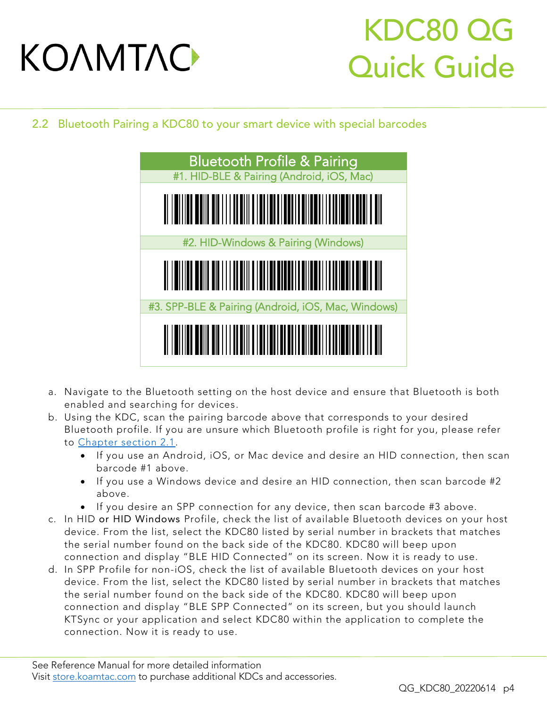## KDC80 QG Quick Guide

<span id="page-4-0"></span>2.2 Bluetooth Pairing a KDC80 to your smart device with special barcodes



- a. Navigate to the Bluetooth setting on the host device and ensure that Bluetooth is both
- b. Using the KDC, scan the pairing barcode above that corresponds to your desired Bluetooth profile. If you are unsure which Bluetooth profile is right for you, please refer to Chapter section 2.1.
	- If you use an Android, iOS, or Mac device and desire an HID connection, then scan<br>barcode #1 above
		- If you use a Windows device and desire an HID connection, then scan barcode #2
		- If you desire an SPP connection for any device, then scan barcode #3 above.<br>HD or HID Windows Profile, check the list of available Bluetooth devices on you
- c. In HID or HID Windows Profile, check the list of available Bluetooth devices on your host the serial number found on the back side of the KDC80. KDC80 will beep upon connection and display "BLE HID Connected" on its screen. Now it is ready to use.
- d. In SPP Profile for non-iOS, check the list of available Bluetooth devices on your host device. From the list, select the KDC80 listed by serial number in brackets that matches the serial number found on the back side of the KDC80. KDC80 will beep upon connection and display "BLE SPP Connected" on its screen, but you should launch KTSync or your application and select KDC80 within the application to complete the KTSync or your application and select KDC80 within the application to complete the connection. Now it is ready to use.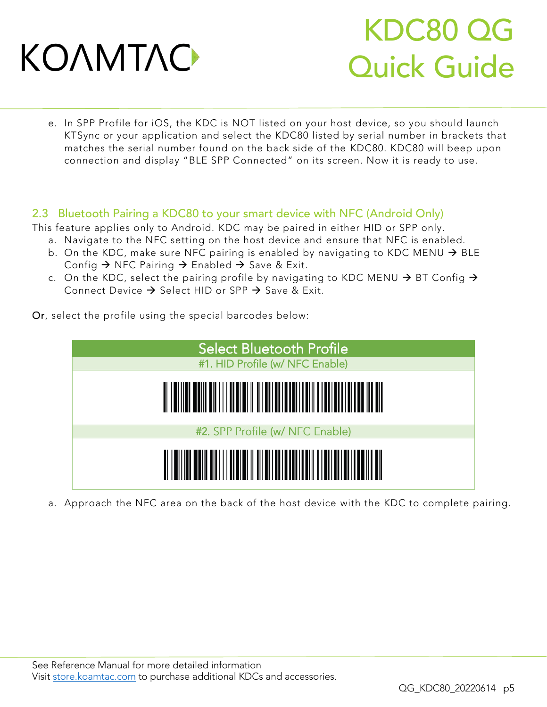## KDC80 QG Quick Guide

e. In SPP Profile for iOS, the KDC is NOT listed on your host device, so you should launch matches the serial number found on the back side of the KDC80. KDC80 will beep upon matches the serial number found on the back side of the Secretary side of the Secretary side  $\epsilon$ connection and display "BLE SPP Connected" on its screen. Now it is ready to use.

#### <span id="page-5-0"></span>2.3 Bluetooth Pairing a KDC80 to your smart device with NFC (Android Only)

- This feature applies only to Android. KDC may be paired in either HID or SPP only.<br>a. Navigate to the NFC setting on the host device and ensure that NFC is enabled.
	- b. On the KDC, make sure NFC pairing is enabled by navigating to KDC MENU  $\rightarrow$  BLE<br>Config  $\rightarrow$  NFC Pairing  $\rightarrow$  Enabled  $\rightarrow$  Save & Exit Config  $\rightarrow$  NFC Pairing  $\rightarrow$  Enabled  $\rightarrow$  Save & Exit.
	- c. On the KDC, select the pairing profile by navigating to KDC MENU  $\rightarrow$  BT Config  $\rightarrow$ Connect Device  $\rightarrow$  Select HID or SPP  $\rightarrow$  Save & Exit.

Or, select the profile using the special barcodes below:



a. Approach the NFC area on the back of the host device with the KDC to complete pairing.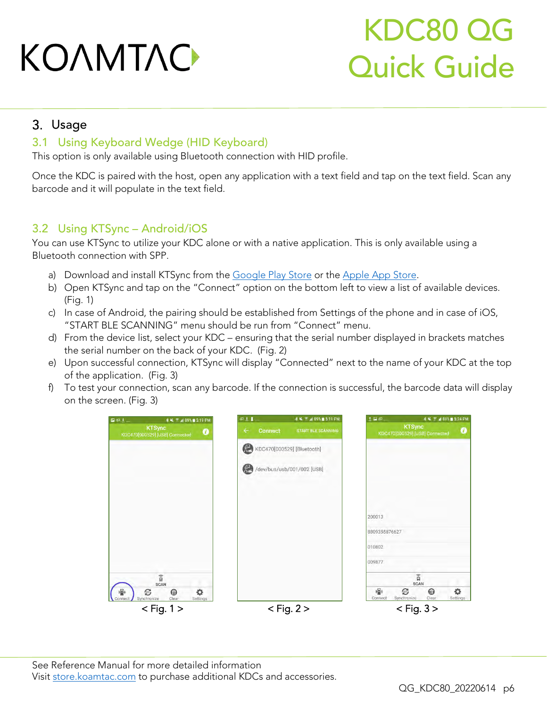## KDC80 QG Quick Guide

#### <span id="page-6-0"></span>3. Usage

#### <span id="page-6-1"></span>3.1 Using Keyboard Wedge (HID Keyboard)

This option is only available using Bluetooth connection with HID profile.

Once the KDC is paired with the host, open any application with a text field and tap on the text field. Scan any<br>barcode and it will populate in the text field. barcode and it will populate in the text field.

#### <span id="page-6-2"></span>3.2 Using KTSync – Android/iOS

You can use KTSync to utilize your KDC alone or with a native application. This is only available using a Bluetooth connection with SPP.

- 
- a) Download and install they he helm and <u>deelgoes by store</u> of the <u>Experiment Conse</u>.  $\frac{1}{\sqrt{2}}$  Open KTSync and tap on the "Connect" option of available devices. (Fig. 1)<br>c) In case of Android, the pairing should be established from Settings of the phone and in case of iOS,
- "START BLE SCANNING" menu should be run from "Connect" menu.
- d) From the device list, select your KDC ensuring that the serial number displayed in brackets matches the serial number on the back of your KDC. (Fig. 2)
- the serial number on the back of your KDC. (Fig. 2)  $\epsilon$ ) Upon successful connection,  $K_{\text{S}}$  is the display "Connected" next to the name of your KDC at the top
- $\overline{F}$  the application  $\overline{F}$  $f(x)$  To test your connection, scan any barcode. If the connection is successful, the barcode data will display

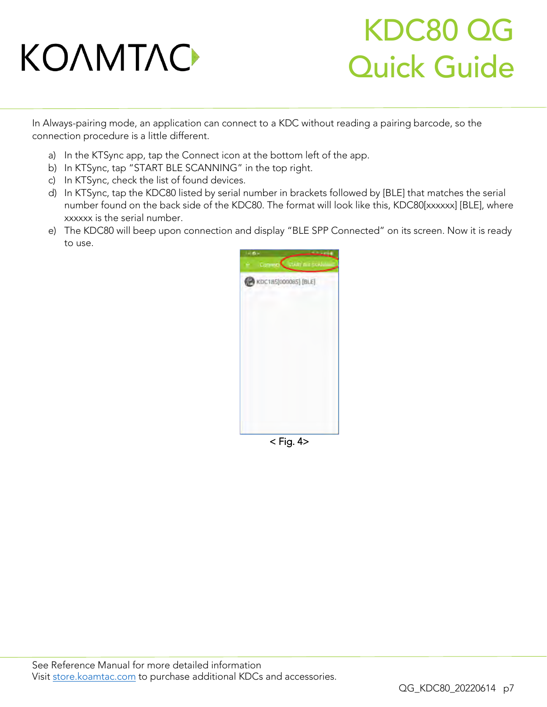## KDC80 QG Quick Guide

In Always-pairing mode, an application can connect to a KDC without reading a pairing barcode, so the connection procedure is a little different.

- a) In the KTSync app, tap the Connect icon at the bottom left of the app.<br>b) In KTSync, tap "START BLE SCANNING" in the top right.
- 
- c) In KTSync, check the list of found devices.
- d) In KTSync, tap the KDC80 listed by serial number in brackets followed by [BLE] that matches the serial number found on the back side of the KDC80. The format will look like this, KDC80[xxxxxx] [BLE], where xxxxxx is the serial number.
- xxxxxx is the serial number. e) The KDC80 will beep upon connection and display "BLE SPP Connected" on its screen. Now it is ready to use.



 $<$  Fig. 4 $>$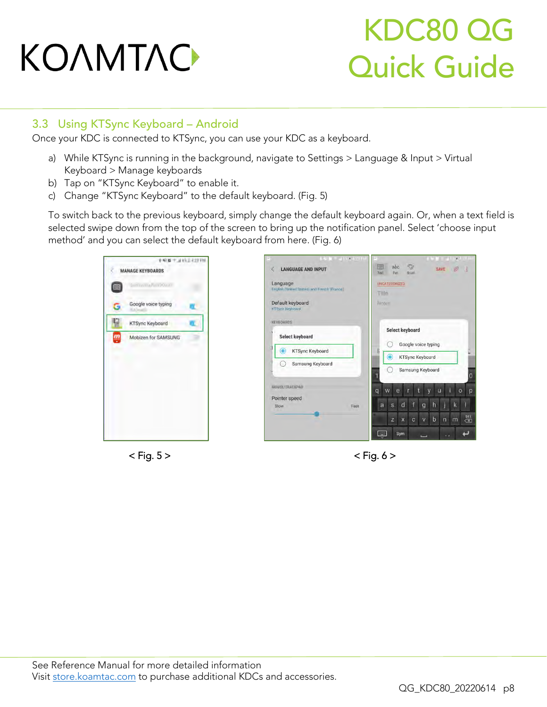## KDC80 QG Quick Guide

#### <span id="page-8-0"></span>3.3 Using KTSync Keyboard – Android

Once your KDC is connected to KTSync, you can use your KDC as a keyboard.

- a) While KTSync is running in the background, navigate to Settings > Language & Input > Virtual
- b) Tap on "KTSync Keyboard" to enable it.
- b) Tap on "KTSync Keyboard" to enable it. c) Change "KTSync Keyboard" to the default keyboard. (Fig. 5)

To switch back to the previous keyboard, simply change the default keyboard again. Or, when a text field is<br>selected swipe down from the top of the screen to bring up the notification panel. Select 'choose input  $s$  down from the top of the screen to be notificated to be notificated to  $s$ . (Signal  $s$ )







 $\mathbf{F}_{\mathbf{g}}$  ,  $\mathbf{g}$  ,  $\mathbf{g}$  ,  $\mathbf{g}$  ,  $\mathbf{g}$  ,  $\mathbf{g}$  ,  $\mathbf{g}$  ,  $\mathbf{g}$  ,  $\mathbf{g}$  ,  $\mathbf{g}$  ,  $\mathbf{g}$  ,  $\mathbf{g}$  ,  $\mathbf{g}$  ,  $\mathbf{g}$  ,  $\mathbf{g}$  ,  $\mathbf{g}$  ,  $\mathbf{g}$  ,  $\mathbf{g}$  ,  $\mathbf{g}$  ,  $\mathbf{g$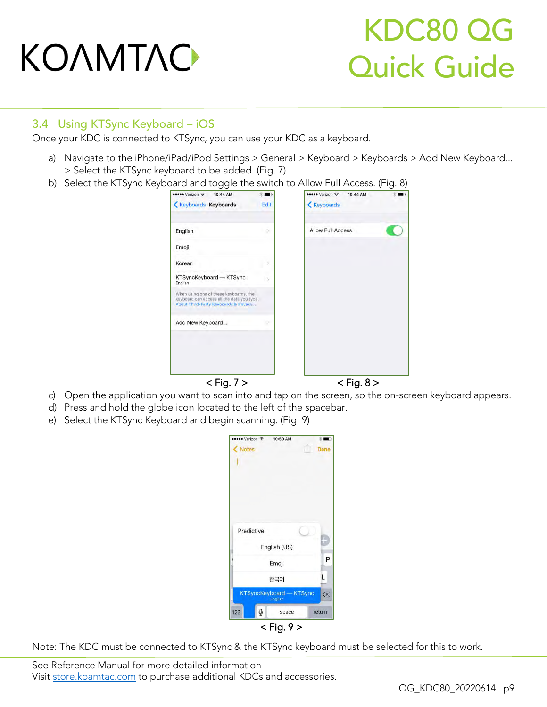## KDC80 QG Quick Guide

#### <span id="page-9-0"></span>3.4 Using KTSync Keyboard – iOS

Once your KDC is connected to KTSync, you can use your KDC as a keyboard.

- a) Navigate to the iPhone/iPad/iPod Settings > General > Keyboard > Keyboards > Add New Keyboard...<br>> Select the KTSync keyboard to be added. (Fig. 7)
- $\frac{1}{2}$  Select the KTSync Keyboard and togele the switch

| ●●●●● Verizon ←<br>10:44 AM                                                                                                   | œ,   | ••••• Verizon 令<br>10:44 AM | $\blacksquare$ |
|-------------------------------------------------------------------------------------------------------------------------------|------|-----------------------------|----------------|
| <b>Keyboards Keyboards</b>                                                                                                    | Edit | <b>Keyboards</b>            |                |
| English                                                                                                                       | ×    | Allow Full Access           |                |
| Emoji                                                                                                                         |      |                             |                |
| Korean                                                                                                                        |      |                             |                |
| KTSyncKeyboard - KTSync<br>English                                                                                            | IS.  |                             |                |
| When using one of these keyboards, the<br>keyboard can access all the data you type.<br>About Third-Party Keyboards & Privacy |      |                             |                |
| Add New Keyboard                                                                                                              | ×    |                             |                |
|                                                                                                                               |      |                             |                |
|                                                                                                                               |      |                             |                |
| $<$ Fig. 7 $>$                                                                                                                |      | $<$ Fig. 8 $>$              |                |

- c) Open the application you want to scan into and tap on the screen, so the on-screen keyboard appears.
- d) Press and hold the globe icon located to the left of the spacebar.
- d) Press and hold the globe icon located to the left of the space and the space of the  $\epsilon$ . e) Select the KTSync Keyboard and begin scanning. (Fig. 9)

| ••• Verizon 〒           | 10:50 AM       | u)<br>案1    |
|-------------------------|----------------|-------------|
| <b>Notes</b>            |                | <b>Done</b> |
|                         |                |             |
|                         |                |             |
|                         |                |             |
|                         |                |             |
|                         |                |             |
| Predictive              |                |             |
|                         |                |             |
|                         | English (US)   |             |
|                         | Emoji          | Ρ           |
|                         | 한국어            | L           |
| KTSyncKeyboard - KTSync | English        | ⊗           |
| $\mathbb{Q}$<br>123     | space          | return      |
|                         | $<$ Fig. 9 $>$ |             |

Note: The KDC must be connected to KTSync & the KTSync keyboard must be selected for this to work.

See [Reference Manual fo](http://store.koamtac.com/)r more detailed information<br>Visit store.koamtac.com to purchase additional KDCs and accessories.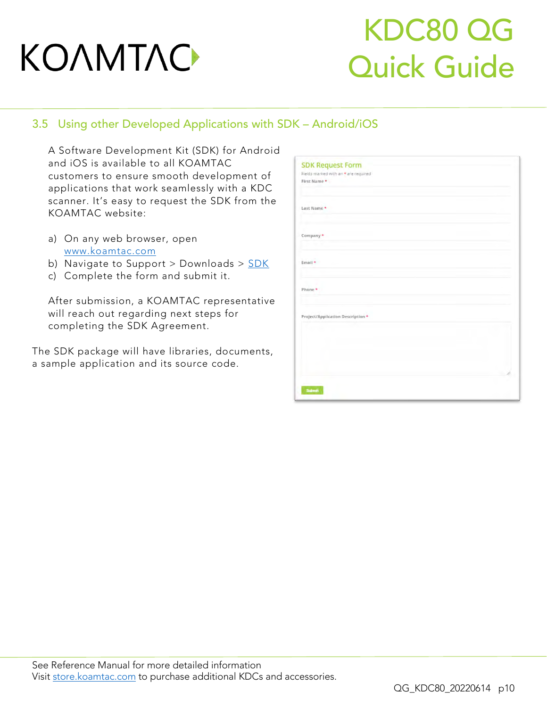### KDC80 QG Quick Guide

#### <span id="page-10-0"></span>3.5 Using other Developed Applications with SDK – Android/iOS

A Software Development Kit (SDK) for Android customers to ensure smooth development of applications that work seamlessly with a KDC scanner. It's easy to request the SDK from the KOAMTAC website: KOAMTAC website:

- a) [On any web browse](file:///C:/Users/Alisha%20N%20Hettinger/Documents/QuickGuides/www.koamtac.com)r, open
- b) Navigate to Support > Downloads >  $SDK$ </u>
- b) Navigate to Support > Downloads > [SDK](https://www.koamtac.com/support/downloads/sdk/) c) Complete the form and submit it.

After submission, a KOAMTAC representative<br>will reach out regarding next steps for will see the strength of the steps for completing the SDK Agreement.

The SDK package will have libraries to the SDK package will have libraries to the SDK package will have a state of the SDK package will have a state of the SDK package will have a state of the SDK package will have the SDK a sample application and its source code.

| <b>SDK Request Form</b>              |  |
|--------------------------------------|--|
| Fields marked with an * are required |  |
| First Name *                         |  |
|                                      |  |
|                                      |  |
| Last Name *                          |  |
|                                      |  |
|                                      |  |
|                                      |  |
| Company *                            |  |
|                                      |  |
|                                      |  |
|                                      |  |
| Email +                              |  |
|                                      |  |
|                                      |  |
| Phone *                              |  |
|                                      |  |
|                                      |  |
|                                      |  |
| Project/Application Description *    |  |
|                                      |  |
|                                      |  |
|                                      |  |
|                                      |  |
|                                      |  |
|                                      |  |
|                                      |  |
|                                      |  |
|                                      |  |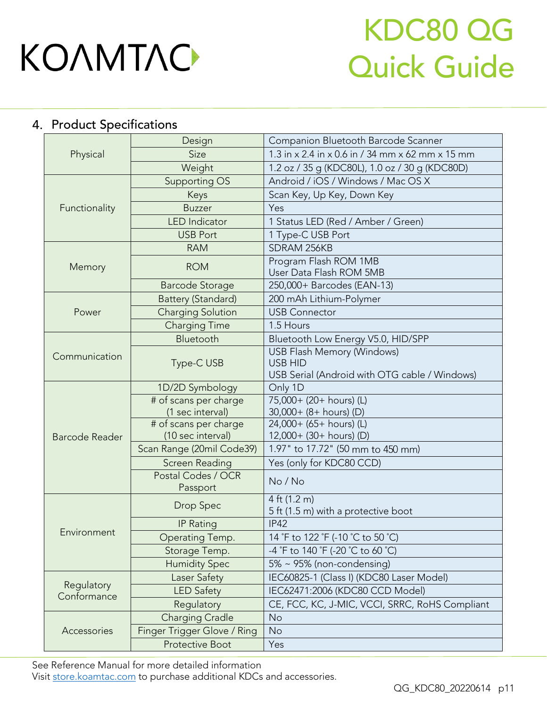## KDC80 QG Quick Guide

### <span id="page-11-0"></span>4. Product Specifications

|                                                                   | Design                                     | Companion Bluetooth Barcode Scanner                                                                  |  |  |  |  |
|-------------------------------------------------------------------|--------------------------------------------|------------------------------------------------------------------------------------------------------|--|--|--|--|
| Physical                                                          | Size                                       | 1.3 in x 2.4 in x 0.6 in / 34 mm x 62 mm x 15 mm                                                     |  |  |  |  |
|                                                                   | Weight                                     | 1.2 oz / 35 g (KDC80L), 1.0 oz / 30 g (KDC80D)                                                       |  |  |  |  |
|                                                                   | Supporting OS                              | Android / iOS / Windows / Mac OS X                                                                   |  |  |  |  |
|                                                                   | Keys                                       | Scan Key, Up Key, Down Key                                                                           |  |  |  |  |
| Functionality                                                     | <b>Buzzer</b>                              | Yes                                                                                                  |  |  |  |  |
| Memory<br>Power<br>Communication<br>Barcode Reader<br>Environment | <b>LED</b> Indicator                       | 1 Status LED (Red / Amber / Green)                                                                   |  |  |  |  |
|                                                                   | <b>USB Port</b>                            | 1 Type-C USB Port                                                                                    |  |  |  |  |
|                                                                   | <b>RAM</b>                                 | SDRAM 256KB                                                                                          |  |  |  |  |
|                                                                   | <b>ROM</b>                                 | Program Flash ROM 1MB<br>User Data Flash ROM 5MB                                                     |  |  |  |  |
|                                                                   | <b>Barcode Storage</b>                     | 250,000+ Barcodes (EAN-13)                                                                           |  |  |  |  |
|                                                                   | Battery (Standard)                         | 200 mAh Lithium-Polymer                                                                              |  |  |  |  |
|                                                                   | <b>Charging Solution</b>                   | <b>USB Connector</b>                                                                                 |  |  |  |  |
|                                                                   | <b>Charging Time</b>                       | 1.5 Hours                                                                                            |  |  |  |  |
|                                                                   | Bluetooth                                  | Bluetooth Low Energy V5.0, HID/SPP                                                                   |  |  |  |  |
|                                                                   | Type-C USB                                 | <b>USB Flash Memory (Windows)</b><br><b>USB HID</b><br>USB Serial (Android with OTG cable / Windows) |  |  |  |  |
|                                                                   | 1D/2D Symbology                            | Only 1D                                                                                              |  |  |  |  |
|                                                                   | # of scans per charge<br>(1 sec interval)  | 75,000+ (20+ hours) (L)<br>30,000+ (8+ hours) (D)                                                    |  |  |  |  |
|                                                                   | # of scans per charge<br>(10 sec interval) | 24,000+ (65+ hours) (L)<br>12,000+ (30+ hours) (D)                                                   |  |  |  |  |
|                                                                   | Scan Range (20mil Code39)                  | 1.97" to 17.72" (50 mm to 450 mm)                                                                    |  |  |  |  |
|                                                                   | Screen Reading                             | Yes (only for KDC80 CCD)                                                                             |  |  |  |  |
|                                                                   | Postal Codes / OCR<br>Passport             | No / No                                                                                              |  |  |  |  |
|                                                                   | Drop Spec                                  | 4 ft (1.2 m)<br>5 ft (1.5 m) with a protective boot                                                  |  |  |  |  |
|                                                                   | <b>IP Rating</b>                           | <b>IP42</b>                                                                                          |  |  |  |  |
|                                                                   | Operating Temp.                            | 14 °F to 122 °F (-10 °C to 50 °C)                                                                    |  |  |  |  |
|                                                                   | Storage Temp.                              | -4 °F to 140 °F (-20 °C to 60 °C)                                                                    |  |  |  |  |
|                                                                   | <b>Humidity Spec</b>                       | $5\% \sim 95\%$ (non-condensing)                                                                     |  |  |  |  |
|                                                                   | Laser Safety                               | IEC60825-1 (Class I) (KDC80 Laser Model)                                                             |  |  |  |  |
| Regulatory<br>Conformance                                         | <b>LED Safety</b>                          | IEC62471:2006 (KDC80 CCD Model)                                                                      |  |  |  |  |
|                                                                   | Regulatory                                 | CE, FCC, KC, J-MIC, VCCI, SRRC, RoHS Compliant                                                       |  |  |  |  |
|                                                                   | <b>Charging Cradle</b>                     | No                                                                                                   |  |  |  |  |
| Accessories                                                       | Finger Trigger Glove / Ring                | No                                                                                                   |  |  |  |  |
|                                                                   | <b>Protective Boot</b>                     | Yes                                                                                                  |  |  |  |  |

See [Reference Manual fo](http://store.koamtac.com/)r more detailed information<br>Visit store.koamtac.com to purchase additional KDCs and accessories.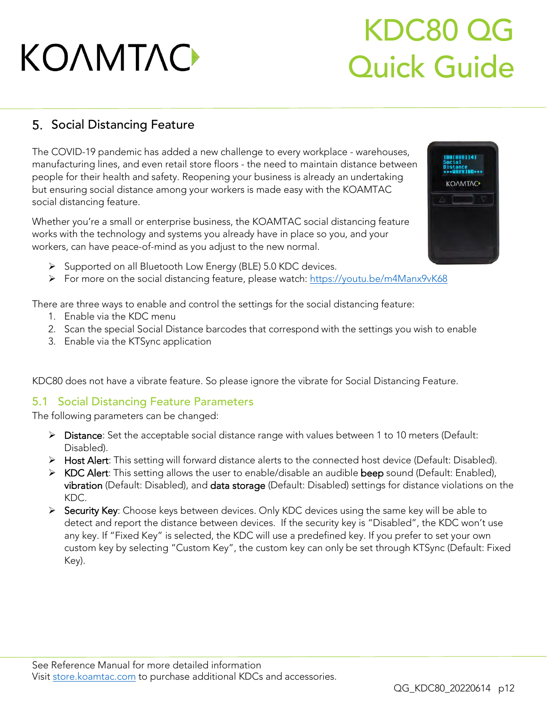## KDC80 QG Quick Guide

### <span id="page-12-0"></span>5. Social Distancing Feature

The COVID-19 pandemic has added a new challenge to every workplace - warehouses, people for their health and safety. Reopening your business is already an undertaking but ensuring social distance among your workers is made easy with the KOAMTAC social distancing feature. social distancing feature.

Whether you're a small or enterprise business, the KOAMTAC social distancing feature works with the technology and systems you already have in place so you, and your workers, can have peace-of-mind as you adjust to the new normal. workers, can have peace-of-mind as you adjust to the new normal.

- ➢ Supported on all Bluetooth Low Energy (BLE) 5.0 KDC devices.
- ➢ For more on the social distancing feature, please watch:<https://youtu.be/m4Manx9vK68>

There are three ways to enable and control the settings for the social distancing feature:

- 
- 2. Scan the special Social Distance barcodes that correspond with the settings you wish to enable 2. Scan the special Social Distance barcodes that correspond with the settings you wish to enable
- 3. Enable via the KTSync application

KDC80 does not have a vibrate feature. So please ignore the vibrate for Social Distancing Feature.

#### <span id="page-12-1"></span>5.1 Social Distancing Feature Parameters

The following parameters can be changed:

- ➢ Distance: Set the acceptable social distance range with values between 1 to 10 meters (Default:
- Disabled). ➢ Host Alert: This setting will forward distance alerts to the connected host device (Default: Disabled).
- ➢ KDC Alert: This setting allows the user to enable/disable an audible beep sound (Default: Enabled), vibration (Default: Disabled), and data storage (Default: Disabled) settings for distance violations on the KDC.
- > Security Key: Choose keys between devices. Only KDC devices using the same key will be able to<br>detect and report the distance between devices. If the security key is "Disabled" the KDC won't detect and report the distance between devices. If the security key is "Disabled", the KDC won't use<br>any key. If "Fixed Key" is selected, the KDC will use a predefined key. If you prefer to set your own any key. If "Fined Hey" is selected, the HE stamp assumption will you prefer to set your own.<br>Custom key by selecting "Custom Key" the custom key can only be set through KTSyns (Default: Fi custom is generally by selecting "Custom Key can only be set the custom key can only be set the set through Key can only be set the custom Key can only be set the custom fixed  $\mathcal{L}$  $\mathcal{L}$



180[000114]<br>}ocial

*KOAMTAC*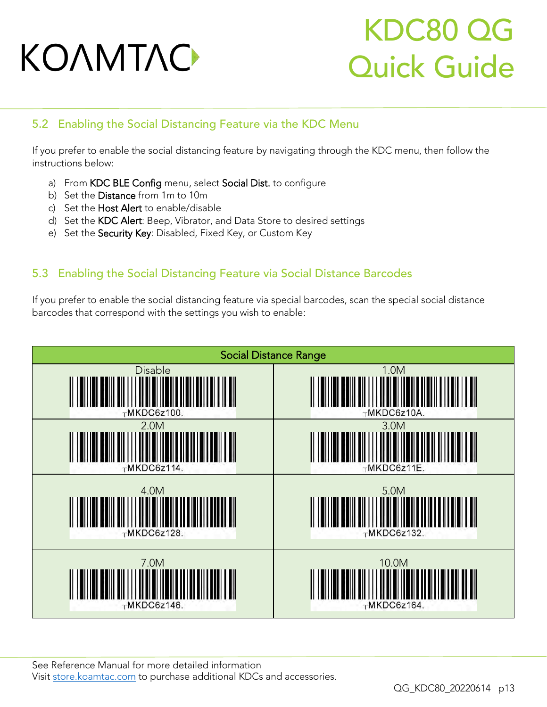## KDC80 QG Quick Guide

#### <span id="page-13-0"></span>5.2 Enabling the Social Distancing Feature via the KDC Menu

If you prefer to enable the social distancing feature by navigating through the KDC menu, then follow the<br>instructions below: instructions below:

- a) From KDC BLE Config menu, select Social Dist. to configure<br>b) Set the Distance from 1m to 10m
- 
- c) Set the Host Alert to enable/disable
- d) Set the KDC Alert: Beep, Vibrator, and Data Store to desired settings
- d) Set the Society Kov: Disphale Fixed Key, or Custom Key, e) Set the Security Key: Disabled, Fixed Key, or Custom Key

#### <span id="page-13-1"></span>5.3 Enabling the Social Distancing Feature via Social Distance Barcodes

If you prefer to enable the social distance via special barcodes, see the special social social social social social distance barcodes that correspond with the settings you wish to enable:

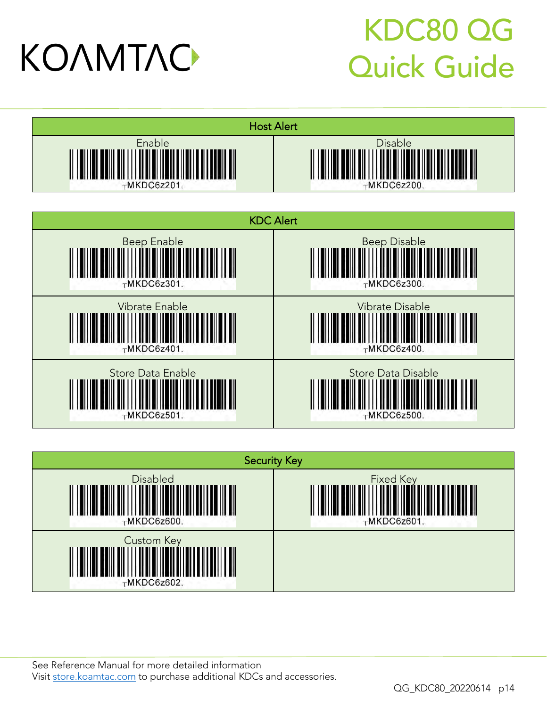## KDC80 QG Quick Guide







See [Reference Manual fo](http://store.koamtac.com/)r more detailed information<br>Visit store.koamtac.com to purchase additional KDCs and accessories.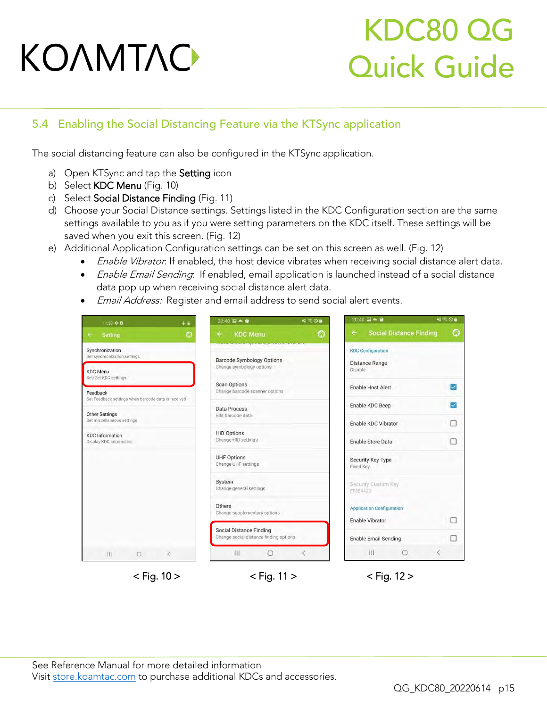## KDC80 QG Quick Guide

#### <span id="page-15-0"></span>5.4 Enabling the Social Distancing Feature via the KTSync application

The social distancing feature can also be configured in the KTSync application.

- a) Open KTSync and tap the **Setting** icon<br>b) Select **KDC Menu** (Fig. 10)
- 
- c) Select Social Distance Finding (Fig. 11)
- d) Choose your Social Distance settings. Settings listed in the KDC Configuration section are the same settings available to you as if you were setting parameters on the KDC itself. These settings will be saved when you exit this screen. (Fig. 12)
- e) Additional Application Configuration settings can be set on this screen as well. (Fig. 12)
- Enable Vibrator: If enabled, the host device vibrates when receiving social distance alert data.<br>• Enable Email Sanding If enabled, amail application is launched instead of a social distance.
	- *Enable Email Sending*: If enabled, email application is launched instead of a social distance<br>data pop up when receiving social distance alert data.
	- Email Address: Register and email address to send social alert events.

| 11:38 幸 自                                                       | 4章                                     | $20:40 \ \overline{w} - \hat{w}$                      | 48 < 0                                                                       |                             |                                          | $20:40 \Box - 0$<br>$N \leq 0$ |                                |   |  |
|-----------------------------------------------------------------|----------------------------------------|-------------------------------------------------------|------------------------------------------------------------------------------|-----------------------------|------------------------------------------|--------------------------------|--------------------------------|---|--|
| Setting<br>٠                                                    | G                                      | <b>KDC Menu</b><br>÷                                  |                                                                              | O                           | $\leftarrow$                             |                                | <b>Social Distance Finding</b> | O |  |
| Synchronization<br>Set synchronization settings                 |                                        | <b>Barcode Symbology Options</b>                      | <b>SCIENTING IN STREET INTO THE REPORT OF A STREET IN THE REAL PROPERTY.</b> |                             |                                          | <b>KDC Configuration</b>       |                                |   |  |
| <b>KDC</b> Menu<br>Set/Get KDC settings                         |                                        | Change symbology options                              |                                                                              |                             | Disable                                  | <b>Distance Range</b>          |                                |   |  |
| Feedback<br>Sel Feedback settings when barcode data is received |                                        | <b>Scan Options</b><br>Change barcode scanner options |                                                                              |                             | $\checkmark$<br><b>Enable Host Alert</b> |                                |                                |   |  |
|                                                                 |                                        | <b>Data Process</b>                                   |                                                                              |                             |                                          | Enable KDC Beep                |                                |   |  |
| Other Settings<br>Set miscellaneous settings                    |                                        | Edit barcode data                                     |                                                                              |                             |                                          | Enable KDC Vibrator            |                                | ٠ |  |
| <b>KDC</b> Information<br>Display KDC Information               |                                        | <b>HID Options</b><br>Change HID settings             |                                                                              |                             |                                          | Enable Store Data              |                                | П |  |
|                                                                 |                                        | <b>UHF Options</b><br>Change UHF settings             |                                                                              |                             | Fixed Key                                | Security Key Type              |                                |   |  |
|                                                                 |                                        | System<br>Change general settings                     |                                                                              |                             | FFB84422                                 | Security Custom Key            |                                |   |  |
|                                                                 | Others<br>Change supplementary options |                                                       |                                                                              |                             | <b>Application Configuration</b>         |                                |                                |   |  |
|                                                                 | <b>Social Distance Finding</b>         |                                                       |                                                                              |                             | Enable Vibrator                          |                                | п                              |   |  |
|                                                                 | Change social distance finding options |                                                       |                                                                              | <b>Enable Email Sending</b> |                                          |                                | п                              |   |  |
| $\Box$<br>Ш                                                     |                                        | Ш                                                     | $\Box$                                                                       | Č                           |                                          | 111                            | $\bigcirc$                     | € |  |

- 
- 

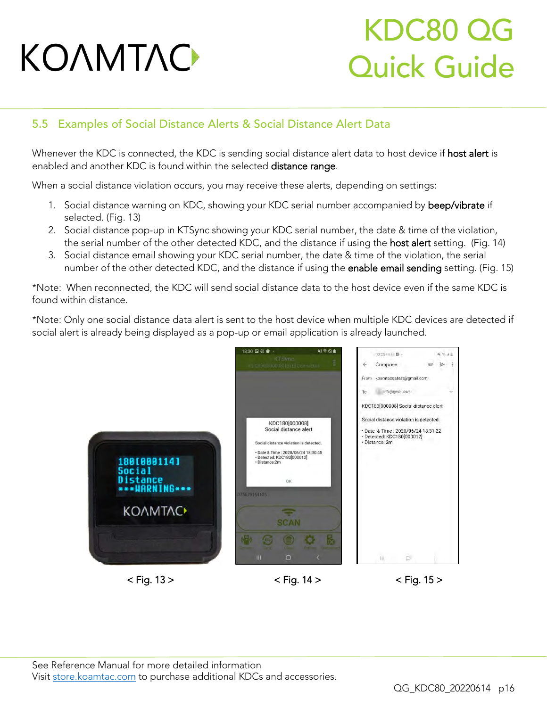## KDC80 QG Quick Guide

#### <span id="page-16-0"></span>5.5 Examples of Social Distance Alerts & Social Distance Alert Data

Whenever the KDC is found within the colocted distance alert data to host device if host districts. enabled and another KDC is found within the selected distance range.

When a social distance violation occurs, you may receive these alerts, depending on settings:

- 1. Social distance warning on KDC, showing your KDC serial number accompanied by beep/vibrate if selected. (Fig. 13)
- 2. Social distance pop-up in KTSync showing your KDC serial number, the date & time of the violation, the serial number of the other detected KDC, and the distance if using the host alert setting. (Fig. 14)
- 3. Social distance email showing your KDC serial number, the date & time of the violation, the serial 3. Social distance email show they go a the center manuscry are date exameles in the modeling, the center of the other detected KDC and the distance if using the anable email sending setting. (Fig. number of the other detections and the distance if using the enable enable enable enable enable enable experience if using the enable experience is using the enable enable enable enable enable enable enable enable enable e

\*Note: When reconnected, the KDC will send social distance data to the host device even if the same KDC is found within distance found within distance.

\*Note: Only one social distance data alert is sent to the host device when multiple KDC devices are detected if social alert is already being displayed as a pop-up or email application is already launched.